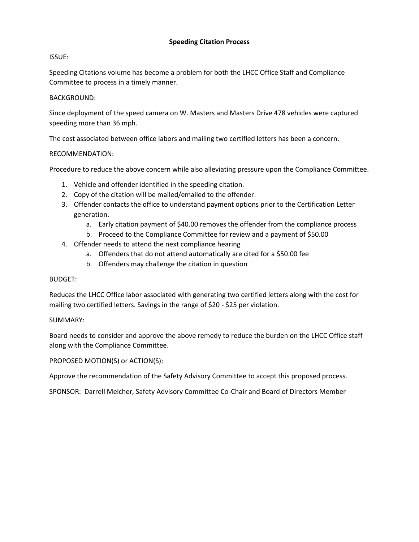## **Speeding Citation Process**

### ISSUE:

Speeding Citations volume has become a problem for both the LHCC Office Staff and Compliance Committee to process in a timely manner.

#### BACKGROUND:

Since deployment of the speed camera on W. Masters and Masters Drive 478 vehicles were captured speeding more than 36 mph.

The cost associated between office labors and mailing two certified letters has been a concern.

#### RECOMMENDATION:

Procedure to reduce the above concern while also alleviating pressure upon the Compliance Committee.

- 1. Vehicle and offender identified in the speeding citation.
- 2. Copy of the citation will be mailed/emailed to the offender.
- 3. Offender contacts the office to understand payment options prior to the Certification Letter generation.
	- a. Early citation payment of \$40.00 removes the offender from the compliance process
	- b. Proceed to the Compliance Committee for review and a payment of \$50.00
- 4. Offender needs to attend the next compliance hearing
	- a. Offenders that do not attend automatically are cited for a \$50.00 fee
	- b. Offenders may challenge the citation in question

#### BUDGET:

Reduces the LHCC Office labor associated with generating two certified letters along with the cost for mailing two certified letters. Savings in the range of \$20 - \$25 per violation.

#### SUMMARY:

Board needs to consider and approve the above remedy to reduce the burden on the LHCC Office staff along with the Compliance Committee.

PROPOSED MOTION(S) or ACTION(S):

Approve the recommendation of the Safety Advisory Committee to accept this proposed process.

SPONSOR: Darrell Melcher, Safety Advisory Committee Co-Chair and Board of Directors Member